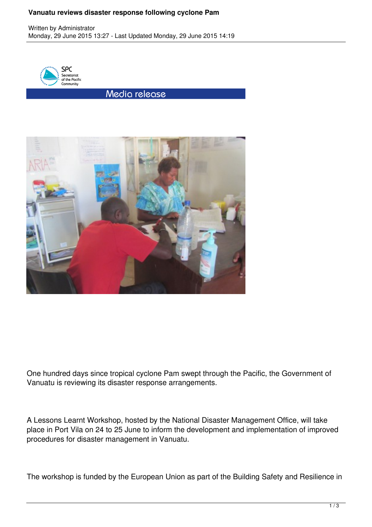## **Vanuatu reviews disaster response following cyclone Pam**



Media release



One hundred days since tropical cyclone Pam swept through the Pacific, the Government of Vanuatu is reviewing its disaster response arrangements.

A Lessons Learnt Workshop, hosted by the National Disaster Management Office, will take place in Port Vila on 24 to 25 June to inform the development and implementation of improved procedures for disaster management in Vanuatu.

The workshop is funded by the European Union as part of the Building Safety and Resilience in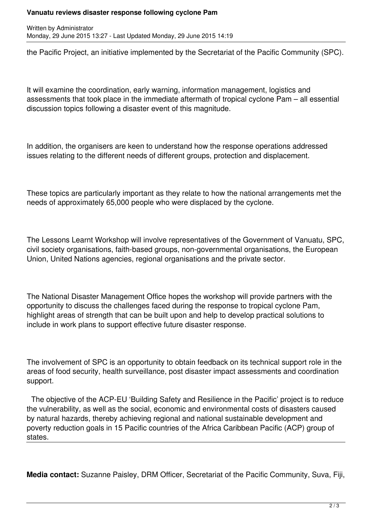## **Vanuatu reviews disaster response following cyclone Pam**

Written by Administrator Monday, 29 June 2015 13:27 - Last Updated Monday, 29 June 2015 14:19

the Pacific Project, an initiative implemented by the Secretariat of the Pacific Community (SPC).

It will examine the coordination, early warning, information management, logistics and assessments that took place in the immediate aftermath of tropical cyclone Pam – all essential discussion topics following a disaster event of this magnitude.

In addition, the organisers are keen to understand how the response operations addressed issues relating to the different needs of different groups, protection and displacement.

These topics are particularly important as they relate to how the national arrangements met the needs of approximately 65,000 people who were displaced by the cyclone.

The Lessons Learnt Workshop will involve representatives of the Government of Vanuatu, SPC, civil society organisations, faith-based groups, non-governmental organisations, the European Union, United Nations agencies, regional organisations and the private sector.

The National Disaster Management Office hopes the workshop will provide partners with the opportunity to discuss the challenges faced during the response to tropical cyclone Pam, highlight areas of strength that can be built upon and help to develop practical solutions to include in work plans to support effective future disaster response.

The involvement of SPC is an opportunity to obtain feedback on its technical support role in the areas of food security, health surveillance, post disaster impact assessments and coordination support.

 The objective of the ACP-EU 'Building Safety and Resilience in the Pacific' project is to reduce the vulnerability, as well as the social, economic and environmental costs of disasters caused by natural hazards, thereby achieving regional and national sustainable development and poverty reduction goals in 15 Pacific countries of the Africa Caribbean Pacific (ACP) group of states.

**Media contact:** Suzanne Paisley, DRM Officer, Secretariat of the Pacific Community, Suva, Fiji,